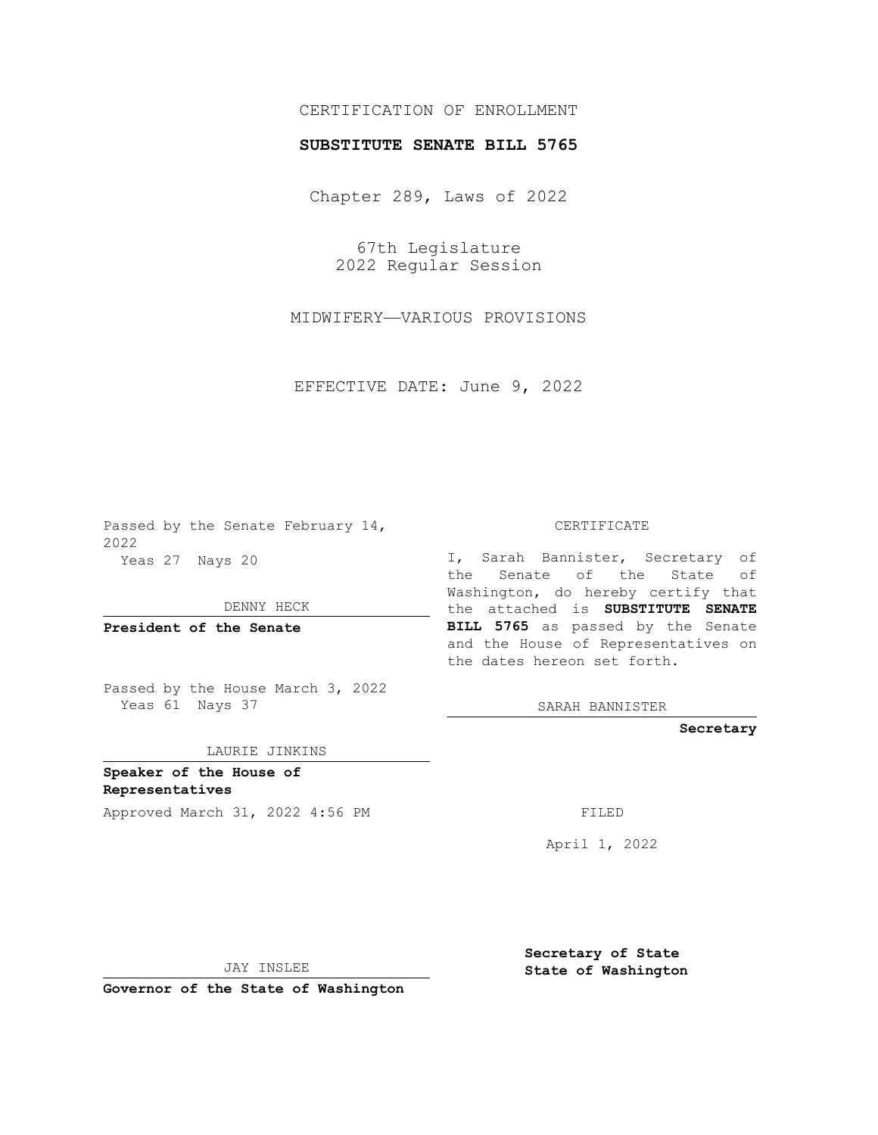## CERTIFICATION OF ENROLLMENT

## **SUBSTITUTE SENATE BILL 5765**

Chapter 289, Laws of 2022

67th Legislature 2022 Regular Session

MIDWIFERY—VARIOUS PROVISIONS

EFFECTIVE DATE: June 9, 2022

Passed by the Senate February 14, 2022 Yeas 27 Nays 20

DENNY HECK

**President of the Senate**

Passed by the House March 3, 2022 Yeas 61 Nays 37

LAURIE JINKINS

**Speaker of the House of Representatives**

Approved March 31, 2022 4:56 PM

CERTIFICATE

I, Sarah Bannister, Secretary of the Senate of the State of Washington, do hereby certify that the attached is **SUBSTITUTE SENATE BILL 5765** as passed by the Senate and the House of Representatives on the dates hereon set forth.

SARAH BANNISTER

**Secretary**

April 1, 2022

JAY INSLEE

**Governor of the State of Washington**

**Secretary of State State of Washington**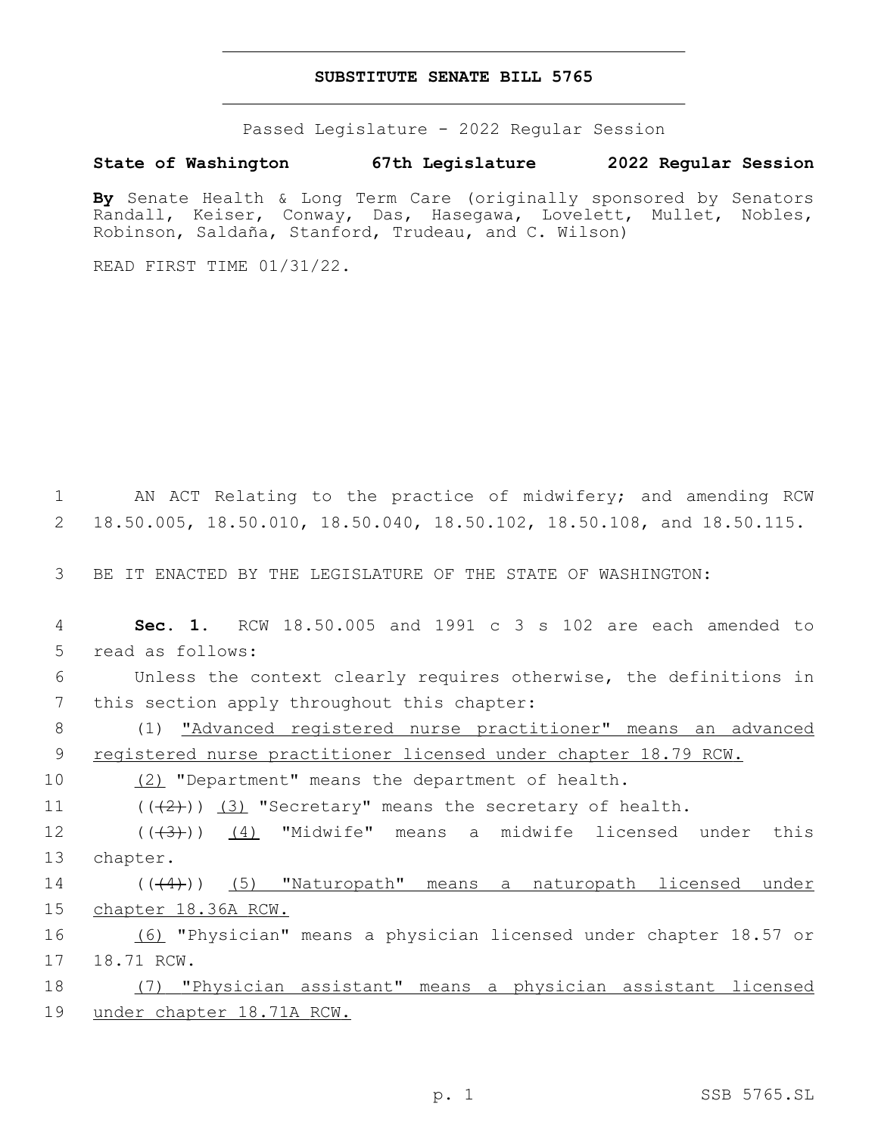## **SUBSTITUTE SENATE BILL 5765**

Passed Legislature - 2022 Regular Session

## **State of Washington 67th Legislature 2022 Regular Session**

**By** Senate Health & Long Term Care (originally sponsored by Senators Randall, Keiser, Conway, Das, Hasegawa, Lovelett, Mullet, Nobles, Robinson, Saldaña, Stanford, Trudeau, and C. Wilson)

READ FIRST TIME 01/31/22.

1 AN ACT Relating to the practice of midwifery; and amending RCW 2 18.50.005, 18.50.010, 18.50.040, 18.50.102, 18.50.108, and 18.50.115.

3 BE IT ENACTED BY THE LEGISLATURE OF THE STATE OF WASHINGTON:

4 **Sec. 1.** RCW 18.50.005 and 1991 c 3 s 102 are each amended to 5 read as follows:

6 Unless the context clearly requires otherwise, the definitions in 7 this section apply throughout this chapter:

8 (1) "Advanced registered nurse practitioner" means an advanced 9 registered nurse practitioner licensed under chapter 18.79 RCW.

10 (2) "Department" means the department of health.

11  $((\langle 2 \rangle)(3)$  "Secretary" means the secretary of health.

12 ((<del>(3)</del>)) <u>(4)</u> "Midwife" means a midwife licensed under this 13 chapter.

14 (((4)) (5) "Naturopath" means a naturopath licensed under 15 chapter 18.36A RCW.

16 (6) "Physician" means a physician licensed under chapter 18.57 or 17 18.71 RCW.

18 (7) "Physician assistant" means a physician assistant licensed 19 under chapter 18.71A RCW.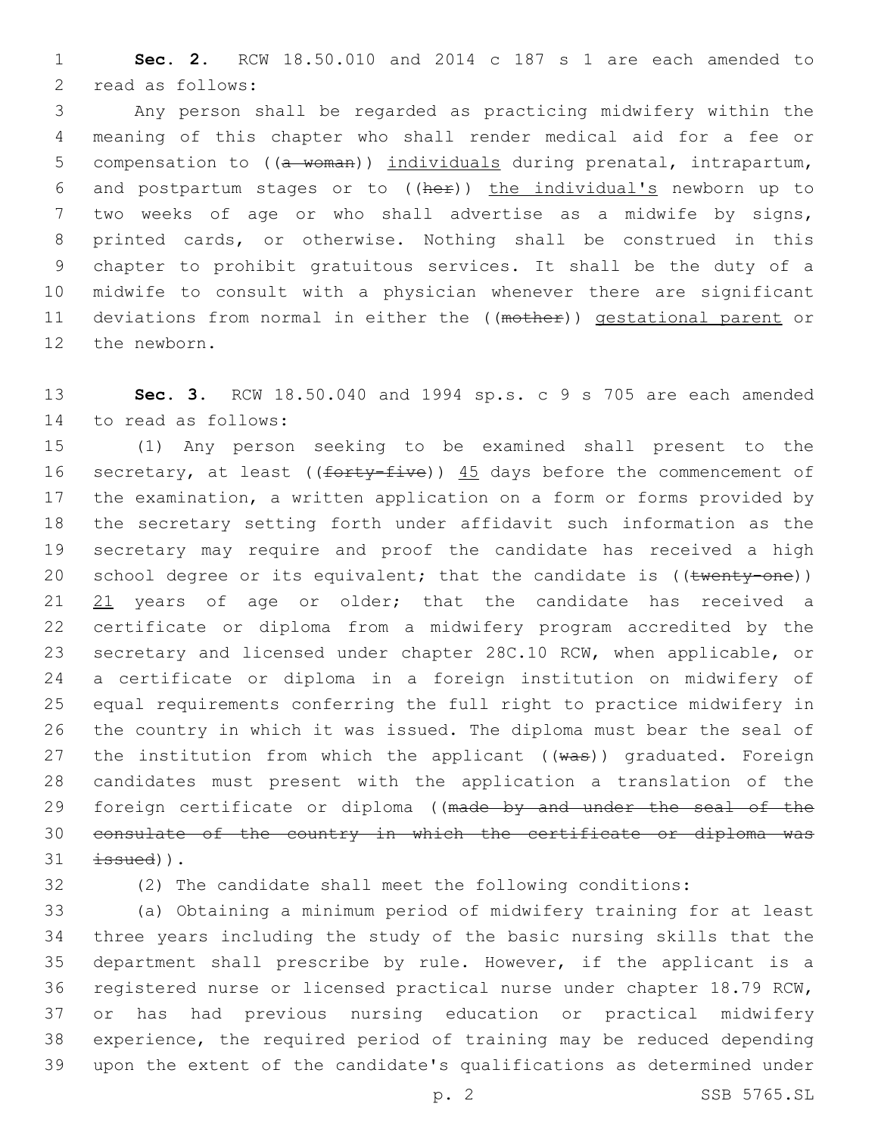**Sec. 2.** RCW 18.50.010 and 2014 c 187 s 1 are each amended to 2 read as follows:

 Any person shall be regarded as practicing midwifery within the meaning of this chapter who shall render medical aid for a fee or 5 compensation to ((a woman)) individuals during prenatal, intrapartum, and postpartum stages or to ((her)) the individual's newborn up to two weeks of age or who shall advertise as a midwife by signs, printed cards, or otherwise. Nothing shall be construed in this chapter to prohibit gratuitous services. It shall be the duty of a midwife to consult with a physician whenever there are significant 11 deviations from normal in either the ((mother)) gestational parent or 12 the newborn.

 **Sec. 3.** RCW 18.50.040 and 1994 sp.s. c 9 s 705 are each amended 14 to read as follows:

 (1) Any person seeking to be examined shall present to the 16 secretary, at least ((forty-five)) 45 days before the commencement of the examination, a written application on a form or forms provided by the secretary setting forth under affidavit such information as the secretary may require and proof the candidate has received a high 20 school degree or its equivalent; that the candidate is ((twenty-one)) 21 years of age or older; that the candidate has received a certificate or diploma from a midwifery program accredited by the secretary and licensed under chapter 28C.10 RCW, when applicable, or a certificate or diploma in a foreign institution on midwifery of equal requirements conferring the full right to practice midwifery in the country in which it was issued. The diploma must bear the seal of 27 the institution from which the applicant ((was)) graduated. Foreign candidates must present with the application a translation of the 29 foreign certificate or diploma ((made by and under the seal of the consulate of the country in which the certificate or diploma was  $\pm$ ssued)).

(2) The candidate shall meet the following conditions:

 (a) Obtaining a minimum period of midwifery training for at least three years including the study of the basic nursing skills that the department shall prescribe by rule. However, if the applicant is a registered nurse or licensed practical nurse under chapter 18.79 RCW, or has had previous nursing education or practical midwifery experience, the required period of training may be reduced depending upon the extent of the candidate's qualifications as determined under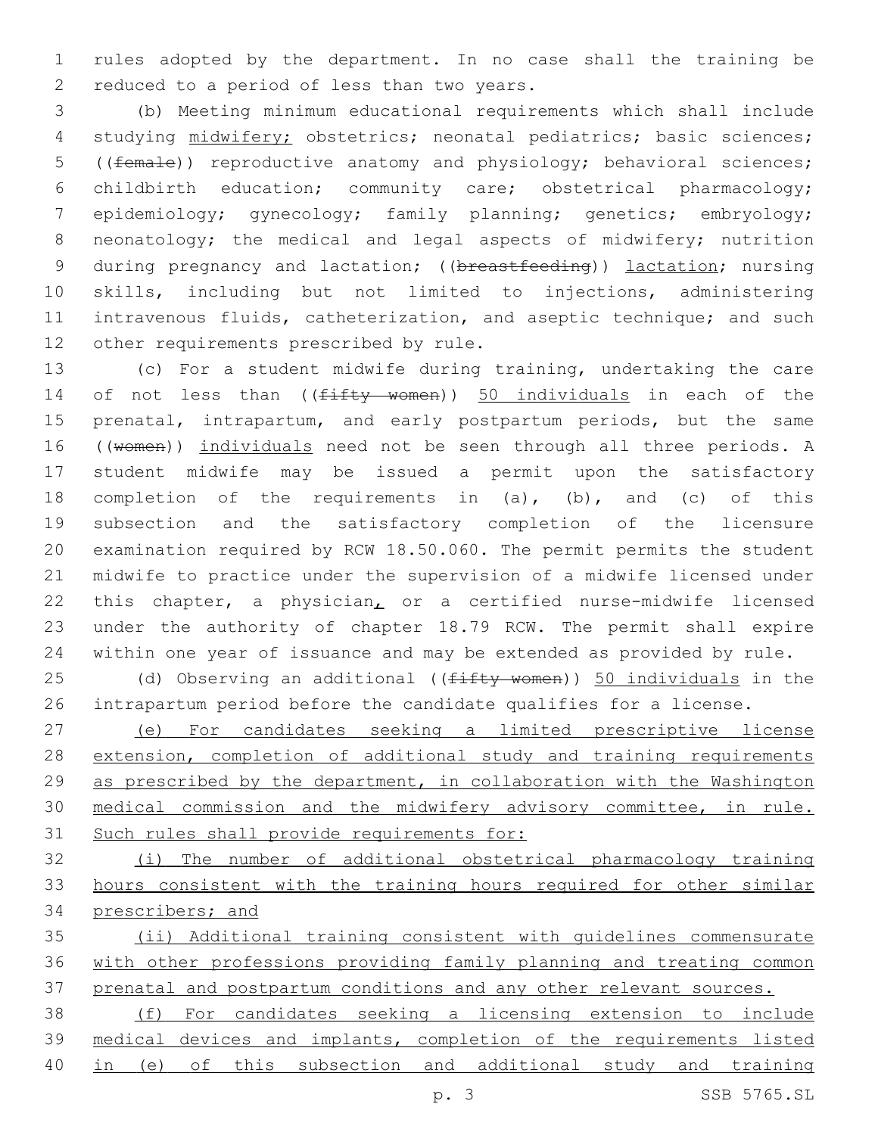rules adopted by the department. In no case shall the training be 2 reduced to a period of less than two years.

 (b) Meeting minimum educational requirements which shall include studying midwifery; obstetrics; neonatal pediatrics; basic sciences; ((female)) reproductive anatomy and physiology; behavioral sciences; childbirth education; community care; obstetrical pharmacology; epidemiology; gynecology; family planning; genetics; embryology; 8 neonatology; the medical and legal aspects of midwifery; nutrition 9 during pregnancy and lactation; ((breastfeeding)) lactation; nursing skills, including but not limited to injections, administering intravenous fluids, catheterization, and aseptic technique; and such 12 other requirements prescribed by rule.

 (c) For a student midwife during training, undertaking the care 14 of not less than ((fifty women)) 50 individuals in each of the prenatal, intrapartum, and early postpartum periods, but the same 16 ((women)) individuals need not be seen through all three periods. A student midwife may be issued a permit upon the satisfactory completion of the requirements in (a), (b), and (c) of this subsection and the satisfactory completion of the licensure examination required by RCW 18.50.060. The permit permits the student midwife to practice under the supervision of a midwife licensed under this chapter, a physician, or a certified nurse-midwife licensed under the authority of chapter 18.79 RCW. The permit shall expire within one year of issuance and may be extended as provided by rule.

25 (d) Observing an additional ((fifty women)) 50 individuals in the intrapartum period before the candidate qualifies for a license.

 (e) For candidates seeking a limited prescriptive license extension, completion of additional study and training requirements 29 as prescribed by the department, in collaboration with the Washington medical commission and the midwifery advisory committee, in rule. Such rules shall provide requirements for:

 (i) The number of additional obstetrical pharmacology training hours consistent with the training hours required for other similar prescribers; and

 (ii) Additional training consistent with guidelines commensurate with other professions providing family planning and treating common 37 prenatal and postpartum conditions and any other relevant sources.

 (f) For candidates seeking a licensing extension to include medical devices and implants, completion of the requirements listed in (e) of this subsection and additional study and training

p. 3 SSB 5765.SL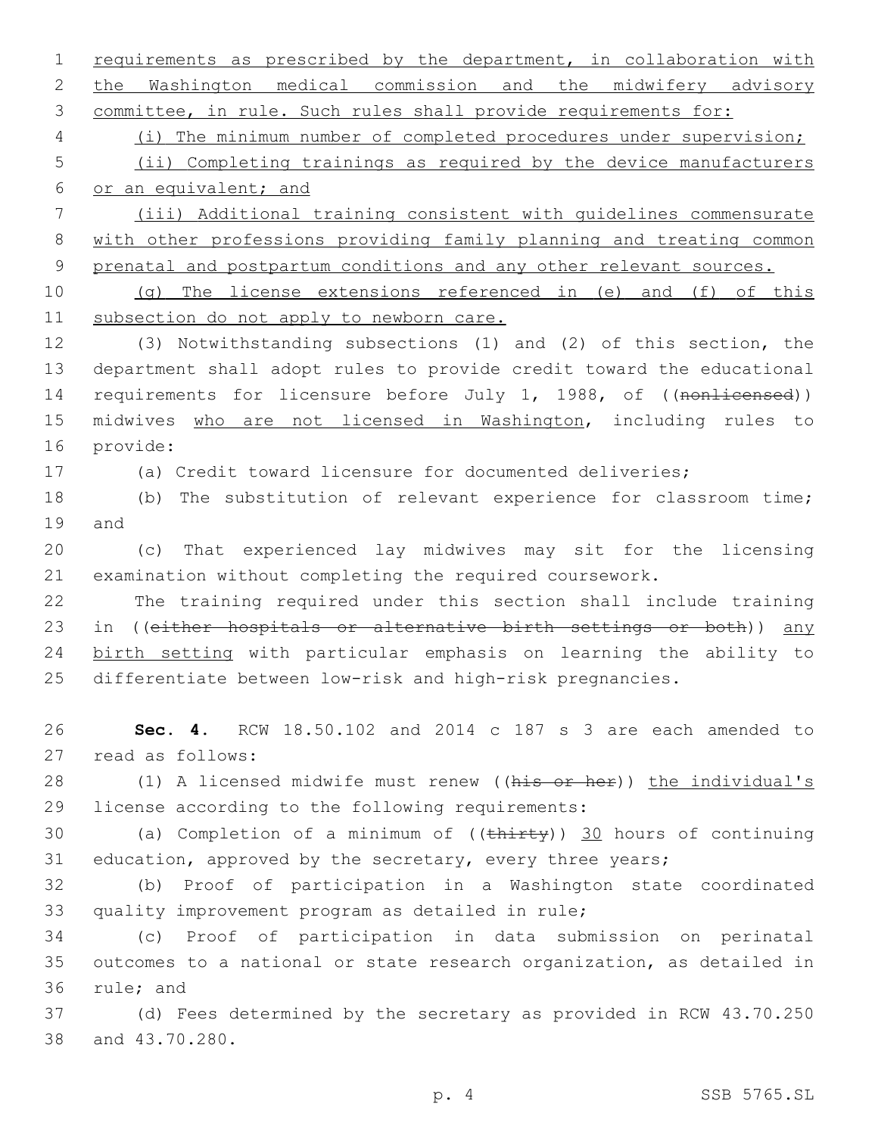2 the Washington medical commission and the midwifery advisory 3 committee, in rule. Such rules shall provide requirements for: 4 (i) The minimum number of completed procedures under supervision; 5 (ii) Completing trainings as required by the device manufacturers 6 or an equivalent; and 7 (iii) Additional training consistent with guidelines commensurate 8 with other professions providing family planning and treating common 9 prenatal and postpartum conditions and any other relevant sources. 10 (g) The license extensions referenced in (e) and (f) of this 11 subsection do not apply to newborn care. 12 (3) Notwithstanding subsections (1) and (2) of this section, the 13 department shall adopt rules to provide credit toward the educational 14 requirements for licensure before July 1, 1988, of ((nonlicensed)) 15 midwives who are not licensed in Washington, including rules to 16 provide: 17 (a) Credit toward licensure for documented deliveries; 18 (b) The substitution of relevant experience for classroom time; 19 and 20 (c) That experienced lay midwives may sit for the licensing 21 examination without completing the required coursework. 22 The training required under this section shall include training 23 in ((either hospitals or alternative birth settings or both)) any 24 birth setting with particular emphasis on learning the ability to 25 differentiate between low-risk and high-risk pregnancies. 26 **Sec. 4.** RCW 18.50.102 and 2014 c 187 s 3 are each amended to 27 read as follows: 28 (1) A licensed midwife must renew ((his or her)) the individual's 29 license according to the following requirements: 30 (a) Completion of a minimum of  $((\text{thirty}))$  30 hours of continuing 31 education, approved by the secretary, every three years; 32 (b) Proof of participation in a Washington state coordinated 33 quality improvement program as detailed in rule; 34 (c) Proof of participation in data submission on perinatal 35 outcomes to a national or state research organization, as detailed in 36 rule; and 37 (d) Fees determined by the secretary as provided in RCW 43.70.250 38 and 43.70.280. p. 4 SSB 5765.SL

1 requirements as prescribed by the department, in collaboration with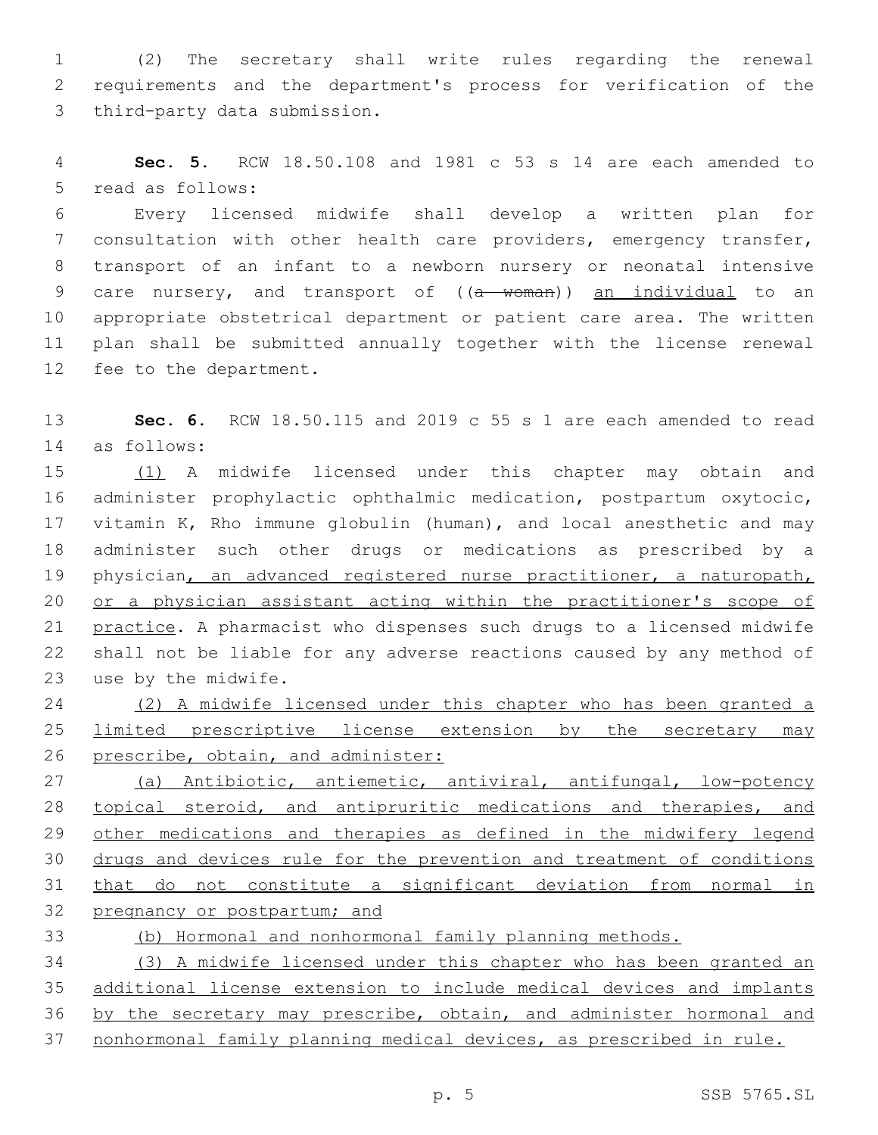(2) The secretary shall write rules regarding the renewal requirements and the department's process for verification of the 3 third-party data submission.

 **Sec. 5.** RCW 18.50.108 and 1981 c 53 s 14 are each amended to 5 read as follows:

 Every licensed midwife shall develop a written plan for consultation with other health care providers, emergency transfer, transport of an infant to a newborn nursery or neonatal intensive 9 care nursery, and transport of ((a woman)) an individual to an appropriate obstetrical department or patient care area. The written plan shall be submitted annually together with the license renewal 12 fee to the department.

 **Sec. 6.** RCW 18.50.115 and 2019 c 55 s 1 are each amended to read as follows:14

 (1) A midwife licensed under this chapter may obtain and administer prophylactic ophthalmic medication, postpartum oxytocic, vitamin K, Rho immune globulin (human), and local anesthetic and may administer such other drugs or medications as prescribed by a 19 physician, an advanced registered nurse practitioner, a naturopath, or a physician assistant acting within the practitioner's scope of practice. A pharmacist who dispenses such drugs to a licensed midwife shall not be liable for any adverse reactions caused by any method of 23 use by the midwife.

 (2) A midwife licensed under this chapter who has been granted a limited prescriptive license extension by the secretary may 26 prescribe, obtain, and administer:

 (a) Antibiotic, antiemetic, antiviral, antifungal, low-potency 28 topical steroid, and antipruritic medications and therapies, and 29 other medications and therapies as defined in the midwifery legend drugs and devices rule for the prevention and treatment of conditions that do not constitute a significant deviation from normal in 32 pregnancy or postpartum; and

(b) Hormonal and nonhormonal family planning methods.

 (3) A midwife licensed under this chapter who has been granted an additional license extension to include medical devices and implants 36 by the secretary may prescribe, obtain, and administer hormonal and nonhormonal family planning medical devices, as prescribed in rule.